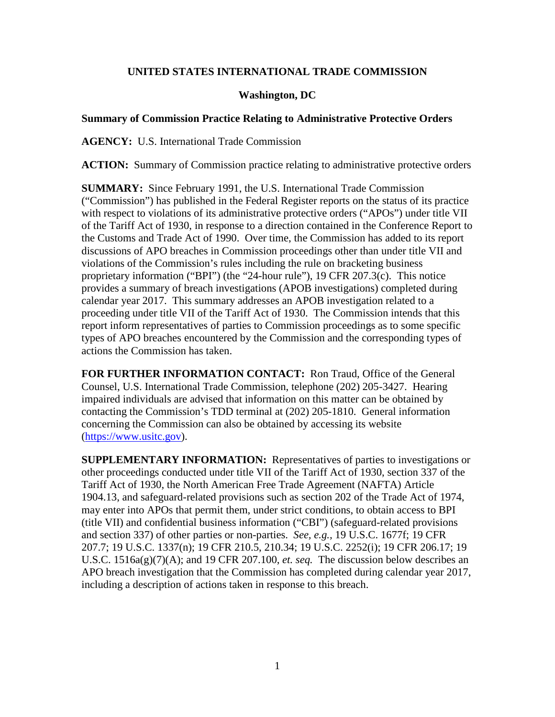# **UNITED STATES INTERNATIONAL TRADE COMMISSION**

### **Washington, DC**

#### **Summary of Commission Practice Relating to Administrative Protective Orders**

**AGENCY:** U.S. International Trade Commission

**ACTION:** Summary of Commission practice relating to administrative protective orders

**SUMMARY:** Since February 1991, the U.S. International Trade Commission ("Commission") has published in the Federal Register reports on the status of its practice with respect to violations of its administrative protective orders ("APOs") under title VII of the Tariff Act of 1930, in response to a direction contained in the Conference Report to the Customs and Trade Act of 1990. Over time, the Commission has added to its report discussions of APO breaches in Commission proceedings other than under title VII and violations of the Commission's rules including the rule on bracketing business proprietary information ("BPI") (the "24-hour rule"), 19 CFR 207.3(c). This notice provides a summary of breach investigations (APOB investigations) completed during calendar year 2017. This summary addresses an APOB investigation related to a proceeding under title VII of the Tariff Act of 1930. The Commission intends that this report inform representatives of parties to Commission proceedings as to some specific types of APO breaches encountered by the Commission and the corresponding types of actions the Commission has taken.

**FOR FURTHER INFORMATION CONTACT:** Ron Traud, Office of the General Counsel, U.S. International Trade Commission, telephone (202) 205-3427. Hearing impaired individuals are advised that information on this matter can be obtained by contacting the Commission's TDD terminal at (202) 205-1810. General information concerning the Commission can also be obtained by accessing its website [\(https://www.usitc.gov\)](https://www.usitc.gov/).

**SUPPLEMENTARY INFORMATION:** Representatives of parties to investigations or other proceedings conducted under title VII of the Tariff Act of 1930, section 337 of the Tariff Act of 1930, the North American Free Trade Agreement (NAFTA) Article 1904.13, and safeguard-related provisions such as section 202 of the Trade Act of 1974, may enter into APOs that permit them, under strict conditions, to obtain access to BPI (title VII) and confidential business information ("CBI") (safeguard-related provisions and section 337) of other parties or non-parties. *See, e.g.,* 19 U.S.C. 1677f; 19 CFR 207.7; 19 U.S.C. 1337(n); 19 CFR 210.5, 210.34; 19 U.S.C. 2252(i); 19 CFR 206.17; 19 U.S.C. 1516a(g)(7)(A); and 19 CFR 207.100, *et. seq.* The discussion below describes an APO breach investigation that the Commission has completed during calendar year 2017, including a description of actions taken in response to this breach.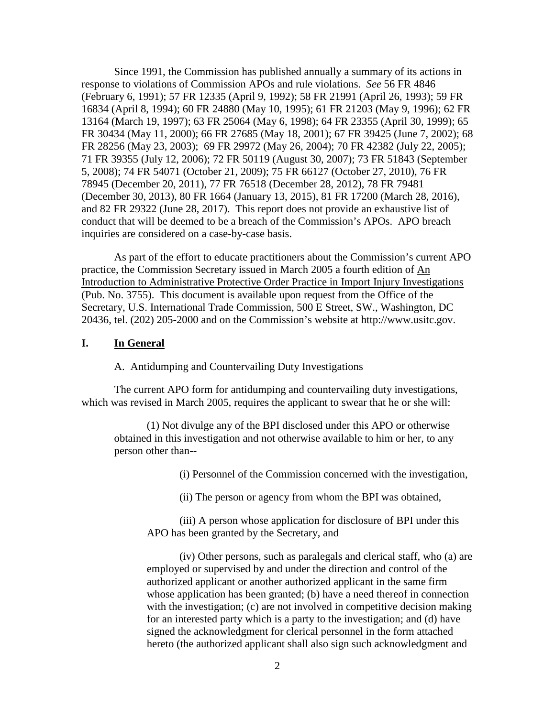Since 1991, the Commission has published annually a summary of its actions in response to violations of Commission APOs and rule violations. *See* 56 FR 4846 (February 6, 1991); 57 FR 12335 (April 9, 1992); 58 FR 21991 (April 26, 1993); 59 FR 16834 (April 8, 1994); 60 FR 24880 (May 10, 1995); 61 FR 21203 (May 9, 1996); 62 FR 13164 (March 19, 1997); 63 FR 25064 (May 6, 1998); 64 FR 23355 (April 30, 1999); 65 FR 30434 (May 11, 2000); 66 FR 27685 (May 18, 2001); 67 FR 39425 (June 7, 2002); 68 FR 28256 (May 23, 2003); 69 FR 29972 (May 26, 2004); 70 FR 42382 (July 22, 2005); 71 FR 39355 (July 12, 2006); 72 FR 50119 (August 30, 2007); 73 FR 51843 (September 5, 2008); 74 FR 54071 (October 21, 2009); 75 FR 66127 (October 27, 2010), 76 FR 78945 (December 20, 2011), 77 FR 76518 (December 28, 2012), 78 FR 79481 (December 30, 2013), 80 FR 1664 (January 13, 2015), 81 FR 17200 (March 28, 2016), and 82 FR 29322 (June 28, 2017). This report does not provide an exhaustive list of conduct that will be deemed to be a breach of the Commission's APOs. APO breach inquiries are considered on a case-by-case basis.

As part of the effort to educate practitioners about the Commission's current APO practice, the Commission Secretary issued in March 2005 a fourth edition of An Introduction to Administrative Protective Order Practice in Import Injury Investigations (Pub. No. 3755). This document is available upon request from the Office of the Secretary, U.S. International Trade Commission, 500 E Street, SW., Washington, DC 20436, tel. (202) 205-2000 and on the Commission's website at http://www.usitc.gov.

## **I. In General**

A. Antidumping and Countervailing Duty Investigations

The current APO form for antidumping and countervailing duty investigations, which was revised in March 2005, requires the applicant to swear that he or she will:

(1) Not divulge any of the BPI disclosed under this APO or otherwise obtained in this investigation and not otherwise available to him or her, to any person other than--

(i) Personnel of the Commission concerned with the investigation,

(ii) The person or agency from whom the BPI was obtained,

(iii) A person whose application for disclosure of BPI under this APO has been granted by the Secretary, and

(iv) Other persons, such as paralegals and clerical staff, who (a) are employed or supervised by and under the direction and control of the authorized applicant or another authorized applicant in the same firm whose application has been granted; (b) have a need thereof in connection with the investigation; (c) are not involved in competitive decision making for an interested party which is a party to the investigation; and (d) have signed the acknowledgment for clerical personnel in the form attached hereto (the authorized applicant shall also sign such acknowledgment and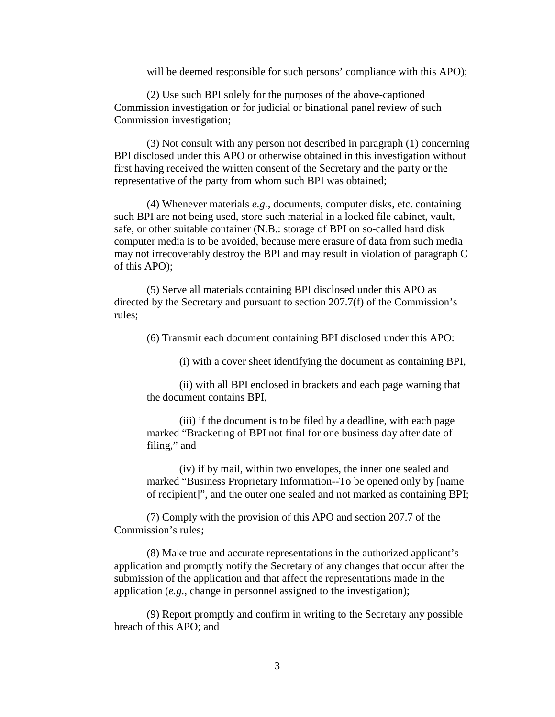will be deemed responsible for such persons' compliance with this APO);

(2) Use such BPI solely for the purposes of the above-captioned Commission investigation or for judicial or binational panel review of such Commission investigation;

(3) Not consult with any person not described in paragraph (1) concerning BPI disclosed under this APO or otherwise obtained in this investigation without first having received the written consent of the Secretary and the party or the representative of the party from whom such BPI was obtained;

(4) Whenever materials *e.g.,* documents, computer disks, etc. containing such BPI are not being used, store such material in a locked file cabinet, vault, safe, or other suitable container (N.B.: storage of BPI on so-called hard disk computer media is to be avoided, because mere erasure of data from such media may not irrecoverably destroy the BPI and may result in violation of paragraph C of this APO);

(5) Serve all materials containing BPI disclosed under this APO as directed by the Secretary and pursuant to section 207.7(f) of the Commission's rules;

(6) Transmit each document containing BPI disclosed under this APO:

(i) with a cover sheet identifying the document as containing BPI,

(ii) with all BPI enclosed in brackets and each page warning that the document contains BPI,

(iii) if the document is to be filed by a deadline, with each page marked "Bracketing of BPI not final for one business day after date of filing," and

(iv) if by mail, within two envelopes, the inner one sealed and marked "Business Proprietary Information--To be opened only by [name of recipient]", and the outer one sealed and not marked as containing BPI;

(7) Comply with the provision of this APO and section 207.7 of the Commission's rules;

(8) Make true and accurate representations in the authorized applicant's application and promptly notify the Secretary of any changes that occur after the submission of the application and that affect the representations made in the application (*e.g.,* change in personnel assigned to the investigation);

(9) Report promptly and confirm in writing to the Secretary any possible breach of this APO; and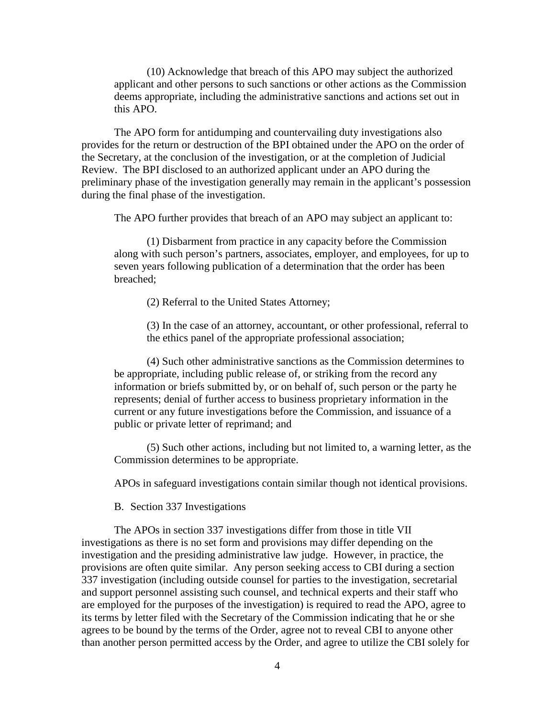(10) Acknowledge that breach of this APO may subject the authorized applicant and other persons to such sanctions or other actions as the Commission deems appropriate, including the administrative sanctions and actions set out in this APO.

The APO form for antidumping and countervailing duty investigations also provides for the return or destruction of the BPI obtained under the APO on the order of the Secretary, at the conclusion of the investigation, or at the completion of Judicial Review. The BPI disclosed to an authorized applicant under an APO during the preliminary phase of the investigation generally may remain in the applicant's possession during the final phase of the investigation.

The APO further provides that breach of an APO may subject an applicant to:

(1) Disbarment from practice in any capacity before the Commission along with such person's partners, associates, employer, and employees, for up to seven years following publication of a determination that the order has been breached;

(2) Referral to the United States Attorney;

(3) In the case of an attorney, accountant, or other professional, referral to the ethics panel of the appropriate professional association;

(4) Such other administrative sanctions as the Commission determines to be appropriate, including public release of, or striking from the record any information or briefs submitted by, or on behalf of, such person or the party he represents; denial of further access to business proprietary information in the current or any future investigations before the Commission, and issuance of a public or private letter of reprimand; and

(5) Such other actions, including but not limited to, a warning letter, as the Commission determines to be appropriate.

APOs in safeguard investigations contain similar though not identical provisions.

B. Section 337 Investigations

The APOs in section 337 investigations differ from those in title VII investigations as there is no set form and provisions may differ depending on the investigation and the presiding administrative law judge. However, in practice, the provisions are often quite similar. Any person seeking access to CBI during a section 337 investigation (including outside counsel for parties to the investigation, secretarial and support personnel assisting such counsel, and technical experts and their staff who are employed for the purposes of the investigation) is required to read the APO, agree to its terms by letter filed with the Secretary of the Commission indicating that he or she agrees to be bound by the terms of the Order, agree not to reveal CBI to anyone other than another person permitted access by the Order, and agree to utilize the CBI solely for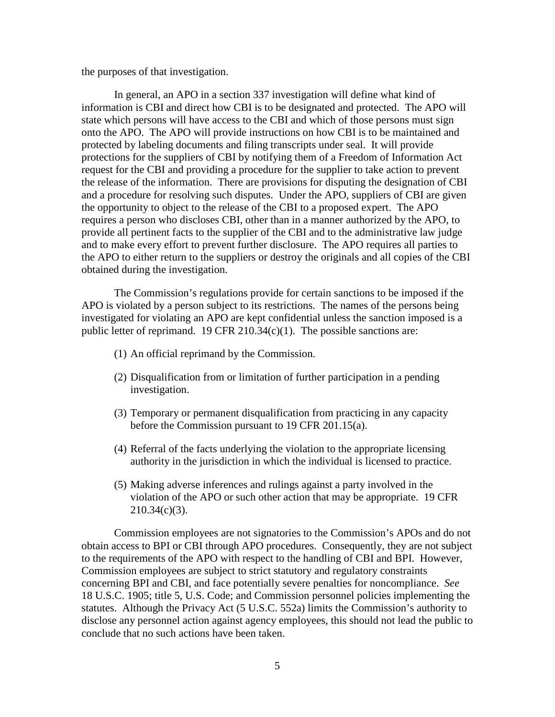the purposes of that investigation.

In general, an APO in a section 337 investigation will define what kind of information is CBI and direct how CBI is to be designated and protected. The APO will state which persons will have access to the CBI and which of those persons must sign onto the APO. The APO will provide instructions on how CBI is to be maintained and protected by labeling documents and filing transcripts under seal. It will provide protections for the suppliers of CBI by notifying them of a Freedom of Information Act request for the CBI and providing a procedure for the supplier to take action to prevent the release of the information. There are provisions for disputing the designation of CBI and a procedure for resolving such disputes. Under the APO, suppliers of CBI are given the opportunity to object to the release of the CBI to a proposed expert. The APO requires a person who discloses CBI, other than in a manner authorized by the APO, to provide all pertinent facts to the supplier of the CBI and to the administrative law judge and to make every effort to prevent further disclosure. The APO requires all parties to the APO to either return to the suppliers or destroy the originals and all copies of the CBI obtained during the investigation.

The Commission's regulations provide for certain sanctions to be imposed if the APO is violated by a person subject to its restrictions. The names of the persons being investigated for violating an APO are kept confidential unless the sanction imposed is a public letter of reprimand. 19 CFR 210.34 $(c)(1)$ . The possible sanctions are:

- (1) An official reprimand by the Commission.
- (2) Disqualification from or limitation of further participation in a pending investigation.
- (3) Temporary or permanent disqualification from practicing in any capacity before the Commission pursuant to 19 CFR 201.15(a).
- (4) Referral of the facts underlying the violation to the appropriate licensing authority in the jurisdiction in which the individual is licensed to practice.
- (5) Making adverse inferences and rulings against a party involved in the violation of the APO or such other action that may be appropriate. 19 CFR 210.34(c)(3).

Commission employees are not signatories to the Commission's APOs and do not obtain access to BPI or CBI through APO procedures. Consequently, they are not subject to the requirements of the APO with respect to the handling of CBI and BPI. However, Commission employees are subject to strict statutory and regulatory constraints concerning BPI and CBI, and face potentially severe penalties for noncompliance. *See* 18 U.S.C. 1905; title 5, U.S. Code; and Commission personnel policies implementing the statutes. Although the Privacy Act (5 U.S.C. 552a) limits the Commission's authority to disclose any personnel action against agency employees, this should not lead the public to conclude that no such actions have been taken.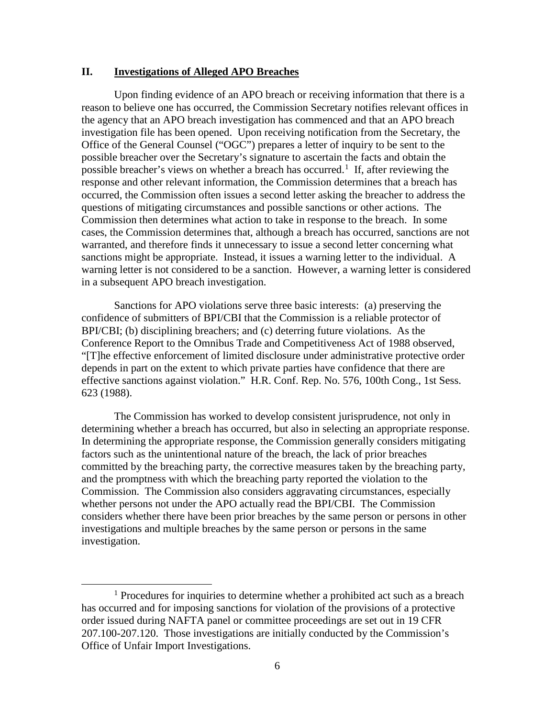### **II. Investigations of Alleged APO Breaches**

Upon finding evidence of an APO breach or receiving information that there is a reason to believe one has occurred, the Commission Secretary notifies relevant offices in the agency that an APO breach investigation has commenced and that an APO breach investigation file has been opened. Upon receiving notification from the Secretary, the Office of the General Counsel ("OGC") prepares a letter of inquiry to be sent to the possible breacher over the Secretary's signature to ascertain the facts and obtain the possible breacher's views on whether a breach has occurred.<sup>[1](#page-5-0)</sup> If, after reviewing the response and other relevant information, the Commission determines that a breach has occurred, the Commission often issues a second letter asking the breacher to address the questions of mitigating circumstances and possible sanctions or other actions. The Commission then determines what action to take in response to the breach. In some cases, the Commission determines that, although a breach has occurred, sanctions are not warranted, and therefore finds it unnecessary to issue a second letter concerning what sanctions might be appropriate. Instead, it issues a warning letter to the individual. A warning letter is not considered to be a sanction. However, a warning letter is considered in a subsequent APO breach investigation.

Sanctions for APO violations serve three basic interests: (a) preserving the confidence of submitters of BPI/CBI that the Commission is a reliable protector of BPI/CBI; (b) disciplining breachers; and (c) deterring future violations. As the Conference Report to the Omnibus Trade and Competitiveness Act of 1988 observed, "[T]he effective enforcement of limited disclosure under administrative protective order depends in part on the extent to which private parties have confidence that there are effective sanctions against violation." H.R. Conf. Rep. No. 576, 100th Cong., 1st Sess. 623 (1988).

The Commission has worked to develop consistent jurisprudence, not only in determining whether a breach has occurred, but also in selecting an appropriate response. In determining the appropriate response, the Commission generally considers mitigating factors such as the unintentional nature of the breach, the lack of prior breaches committed by the breaching party, the corrective measures taken by the breaching party, and the promptness with which the breaching party reported the violation to the Commission. The Commission also considers aggravating circumstances, especially whether persons not under the APO actually read the BPI/CBI. The Commission considers whether there have been prior breaches by the same person or persons in other investigations and multiple breaches by the same person or persons in the same investigation.

<span id="page-5-0"></span><sup>&</sup>lt;sup>1</sup> Procedures for inquiries to determine whether a prohibited act such as a breach has occurred and for imposing sanctions for violation of the provisions of a protective order issued during NAFTA panel or committee proceedings are set out in 19 CFR 207.100-207.120. Those investigations are initially conducted by the Commission's Office of Unfair Import Investigations.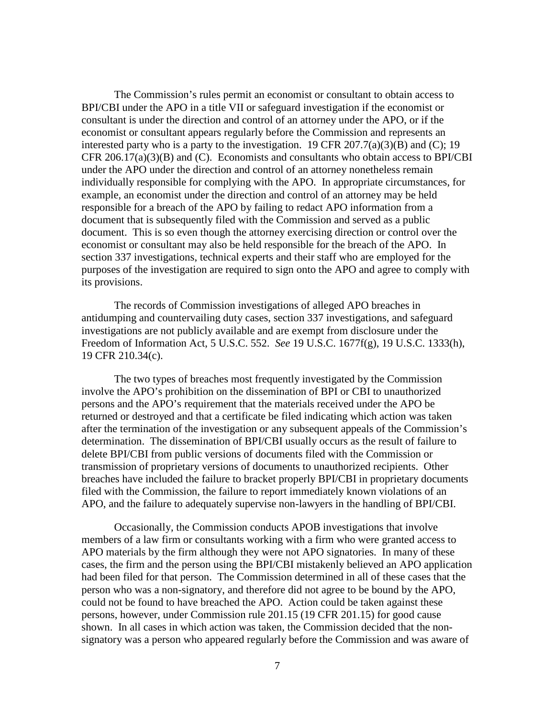The Commission's rules permit an economist or consultant to obtain access to BPI/CBI under the APO in a title VII or safeguard investigation if the economist or consultant is under the direction and control of an attorney under the APO, or if the economist or consultant appears regularly before the Commission and represents an interested party who is a party to the investigation. 19 CFR  $207.7(a)(3)(B)$  and (C); 19 CFR 206.17(a)(3)(B) and (C). Economists and consultants who obtain access to BPI/CBI under the APO under the direction and control of an attorney nonetheless remain individually responsible for complying with the APO. In appropriate circumstances, for example, an economist under the direction and control of an attorney may be held responsible for a breach of the APO by failing to redact APO information from a document that is subsequently filed with the Commission and served as a public document. This is so even though the attorney exercising direction or control over the economist or consultant may also be held responsible for the breach of the APO. In section 337 investigations, technical experts and their staff who are employed for the purposes of the investigation are required to sign onto the APO and agree to comply with its provisions.

The records of Commission investigations of alleged APO breaches in antidumping and countervailing duty cases, section 337 investigations, and safeguard investigations are not publicly available and are exempt from disclosure under the Freedom of Information Act, 5 U.S.C. 552. *See* 19 U.S.C. 1677f(g), 19 U.S.C. 1333(h), 19 CFR 210.34(c).

The two types of breaches most frequently investigated by the Commission involve the APO's prohibition on the dissemination of BPI or CBI to unauthorized persons and the APO's requirement that the materials received under the APO be returned or destroyed and that a certificate be filed indicating which action was taken after the termination of the investigation or any subsequent appeals of the Commission's determination. The dissemination of BPI/CBI usually occurs as the result of failure to delete BPI/CBI from public versions of documents filed with the Commission or transmission of proprietary versions of documents to unauthorized recipients. Other breaches have included the failure to bracket properly BPI/CBI in proprietary documents filed with the Commission, the failure to report immediately known violations of an APO, and the failure to adequately supervise non-lawyers in the handling of BPI/CBI.

Occasionally, the Commission conducts APOB investigations that involve members of a law firm or consultants working with a firm who were granted access to APO materials by the firm although they were not APO signatories. In many of these cases, the firm and the person using the BPI/CBI mistakenly believed an APO application had been filed for that person. The Commission determined in all of these cases that the person who was a non-signatory, and therefore did not agree to be bound by the APO, could not be found to have breached the APO. Action could be taken against these persons, however, under Commission rule 201.15 (19 CFR 201.15) for good cause shown. In all cases in which action was taken, the Commission decided that the nonsignatory was a person who appeared regularly before the Commission and was aware of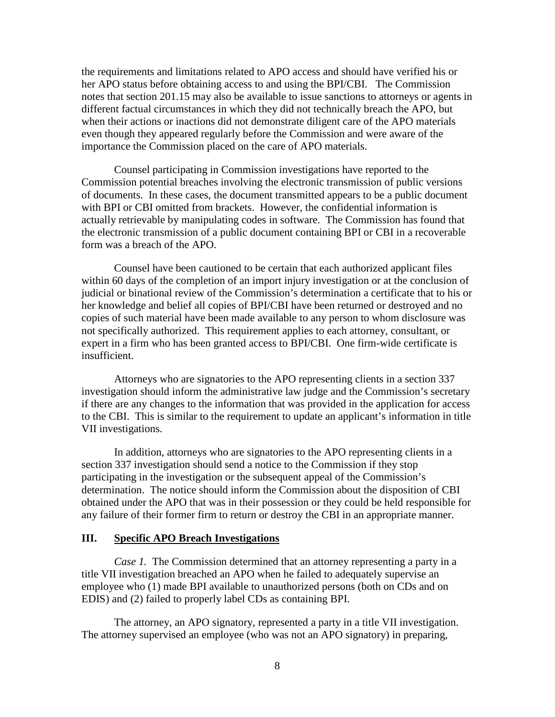the requirements and limitations related to APO access and should have verified his or her APO status before obtaining access to and using the BPI/CBI. The Commission notes that section 201.15 may also be available to issue sanctions to attorneys or agents in different factual circumstances in which they did not technically breach the APO, but when their actions or inactions did not demonstrate diligent care of the APO materials even though they appeared regularly before the Commission and were aware of the importance the Commission placed on the care of APO materials.

Counsel participating in Commission investigations have reported to the Commission potential breaches involving the electronic transmission of public versions of documents. In these cases, the document transmitted appears to be a public document with BPI or CBI omitted from brackets. However, the confidential information is actually retrievable by manipulating codes in software. The Commission has found that the electronic transmission of a public document containing BPI or CBI in a recoverable form was a breach of the APO.

Counsel have been cautioned to be certain that each authorized applicant files within 60 days of the completion of an import injury investigation or at the conclusion of judicial or binational review of the Commission's determination a certificate that to his or her knowledge and belief all copies of BPI/CBI have been returned or destroyed and no copies of such material have been made available to any person to whom disclosure was not specifically authorized. This requirement applies to each attorney, consultant, or expert in a firm who has been granted access to BPI/CBI. One firm-wide certificate is insufficient.

Attorneys who are signatories to the APO representing clients in a section 337 investigation should inform the administrative law judge and the Commission's secretary if there are any changes to the information that was provided in the application for access to the CBI. This is similar to the requirement to update an applicant's information in title VII investigations.

In addition, attorneys who are signatories to the APO representing clients in a section 337 investigation should send a notice to the Commission if they stop participating in the investigation or the subsequent appeal of the Commission's determination. The notice should inform the Commission about the disposition of CBI obtained under the APO that was in their possession or they could be held responsible for any failure of their former firm to return or destroy the CBI in an appropriate manner.

#### **III. Specific APO Breach Investigations**

*Case 1.* The Commission determined that an attorney representing a party in a title VII investigation breached an APO when he failed to adequately supervise an employee who (1) made BPI available to unauthorized persons (both on CDs and on EDIS) and (2) failed to properly label CDs as containing BPI.

The attorney, an APO signatory, represented a party in a title VII investigation. The attorney supervised an employee (who was not an APO signatory) in preparing,